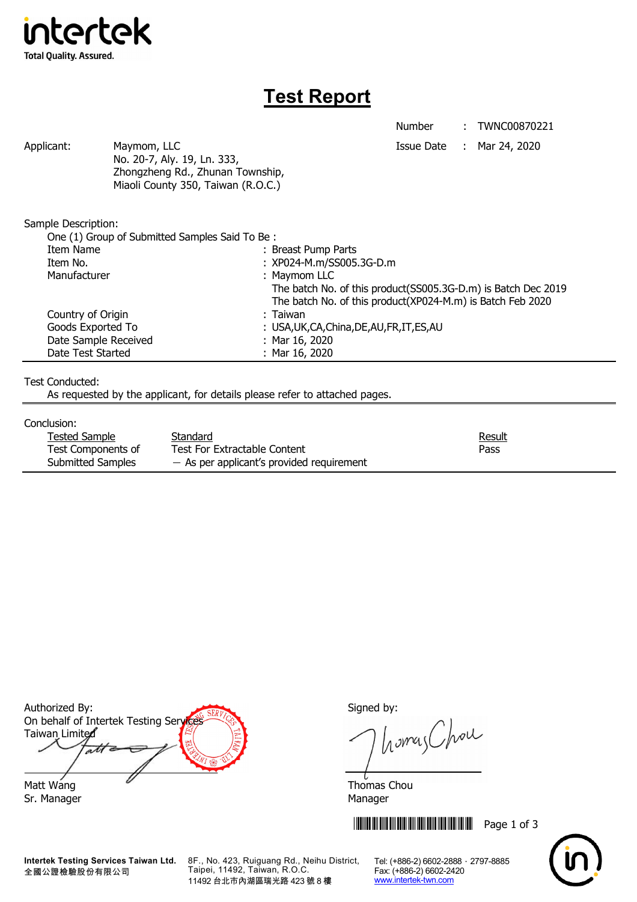

# **Test Report**

Number : TWNC00870221

Applicant: Maymom, LLC Maymon, ILC Applicant: Mar 24, 2020 No. 20-7, Aly. 19, Ln. 333, Zhongzheng Rd., Zhunan Township, Miaoli County 350, Taiwan (R.O.C.)

Sample Description:

| One (1) Group of Submitted Samples Said To Be: |                                                               |
|------------------------------------------------|---------------------------------------------------------------|
| Item Name                                      | : Breast Pump Parts                                           |
| Item No.                                       | : XP024-M.m/SS005.3G-D.m                                      |
| Manufacturer                                   | : Maymom LLC                                                  |
|                                                | The batch No. of this product(SS005.3G-D.m) is Batch Dec 2019 |
|                                                | The batch No. of this product(XP024-M.m) is Batch Feb 2020    |
| Country of Origin                              | : Taiwan                                                      |
| Goods Exported To                              | : USA, UK, CA, China, DE, AU, FR, IT, ES, AU                  |
| Date Sample Received                           | : Mar $16, 2020$                                              |
| Date Test Started                              | : Mar $16, 2020$                                              |

### Test Conducted:

As requested by the applicant, for details please refer to attached pages.

#### Conclusion:

| Tested Sample      | Standard                                    | <u>Result</u> |
|--------------------|---------------------------------------------|---------------|
| Test Components of | Test For Extractable Content                | Pass          |
| Submitted Samples  | $-$ As per applicant's provided requirement |               |

Authorized By: Signed by: On behalf of Intertek Testing Services Taiwan Limited  $\overline{a}$ Matt Wang  $\overline{a}$  Matt Wang

Sr. Manager Manager Manager Manager Manager

**Intertek Testing Services Taiwan Ltd.** 全國公證檢驗股份有限公司

8F., No. 423, Ruiguang Rd., Neihu District, Taipei, 11492, Taiwan, R.O.C. 11492 台北市內湖區瑞光路 423 號 8 樓

homes Chou

**THEFT READERS IN THE READER IN THE READER IN THE READER IN THE READER IN THE READER IN THE READER IN THE READER** 



Tel: (+886-2) 6602-2888 · 2797-8885 Fax: (+886-2) 6602-2420 www.intertek-twn.com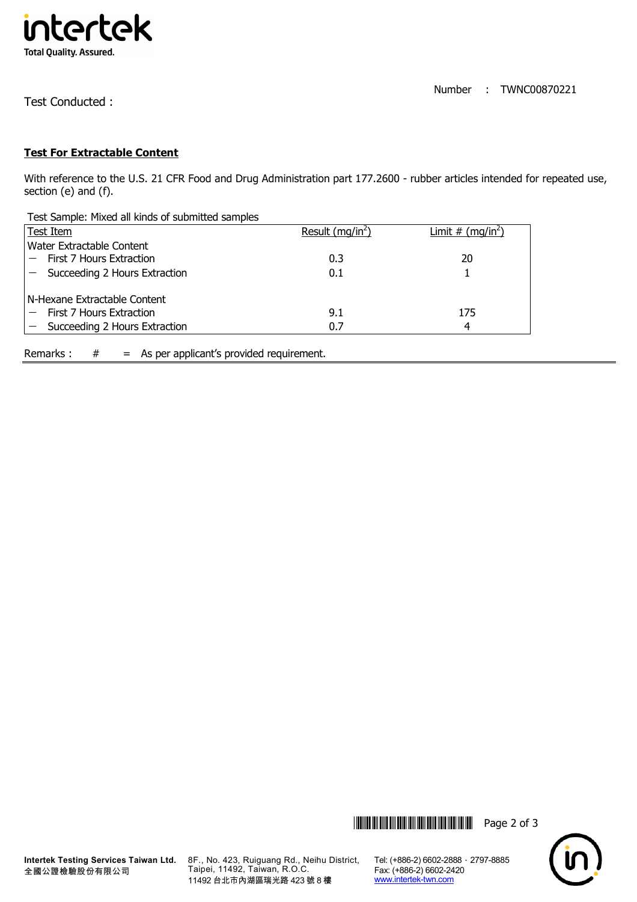

Test Conducted :

## **Test For Extractable Content**

With reference to the U.S. 21 CFR Food and Drug Administration part 177.2600 - rubber articles intended for repeated use, section (e) and (f).

| Test Sample: Mixed all kinds of submitted samples |                    |                     |  |  |
|---------------------------------------------------|--------------------|---------------------|--|--|
| <b>Test Item</b>                                  | Result $(mq/in^2)$ | Limit # $(mq/in^2)$ |  |  |
| Water Extractable Content                         |                    |                     |  |  |
| First 7 Hours Extraction                          | 0.3                | 20                  |  |  |
| Succeeding 2 Hours Extraction                     | 0.1                |                     |  |  |
| N-Hexane Extractable Content                      |                    |                     |  |  |
| First 7 Hours Extraction                          | 9.1                | 175                 |  |  |
| Succeeding 2 Hours Extraction                     | 0.7                | 4                   |  |  |
|                                                   |                    |                     |  |  |

Remarks :  $#$  = As per applicant's provided requirement.



8F., No. 423, Ruiguang Rd., Neihu District, Taipei, 11492, Taiwan, R.O.C. 11492 台北市內湖區瑞光路 423 號 8 樓

Tel: (+886-2) 6602-2888 · 2797-8885 Fax: (+886-2) 6602-2420 www.intertek-twn.com